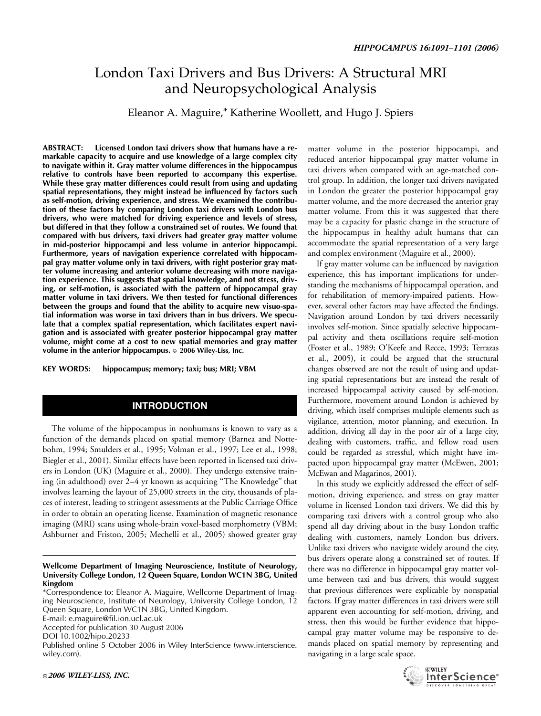# London Taxi Drivers and Bus Drivers: A Structural MRI and Neuropsychological Analysis

Eleanor A. Maguire,\* Katherine Woollett, and Hugo J. Spiers

ABSTRACT: Licensed London taxi drivers show that humans have a remarkable capacity to acquire and use knowledge of a large complex city to navigate within it. Gray matter volume differences in the hippocampus relative to controls have been reported to accompany this expertise. While these gray matter differences could result from using and updating spatial representations, they might instead be influenced by factors such as self-motion, driving experience, and stress. We examined the contribution of these factors by comparing London taxi drivers with London bus drivers, who were matched for driving experience and levels of stress, but differed in that they follow a constrained set of routes. We found that compared with bus drivers, taxi drivers had greater gray matter volume in mid-posterior hippocampi and less volume in anterior hippocampi. Furthermore, years of navigation experience correlated with hippocampal gray matter volume only in taxi drivers, with right posterior gray matter volume increasing and anterior volume decreasing with more navigation experience. This suggests that spatial knowledge, and not stress, driving, or self-motion, is associated with the pattern of hippocampal gray matter volume in taxi drivers. We then tested for functional differences between the groups and found that the ability to acquire new visuo-spatial information was worse in taxi drivers than in bus drivers. We speculate that a complex spatial representation, which facilitates expert navigation and is associated with greater posterior hippocampal gray matter volume, might come at a cost to new spatial memories and gray matter volume in the anterior hippocampus.  $\circ$  2006 Wiley-Liss, Inc.

KEY WORDS: hippocampus; memory; taxi; bus; MRI; VBM

### INTRODUCTION

The volume of the hippocampus in nonhumans is known to vary as a function of the demands placed on spatial memory (Barnea and Nottebohm, 1994; Smulders et al., 1995; Volman et al., 1997; Lee et al., 1998; Biegler et al., 2001). Similar effects have been reported in licensed taxi drivers in London (UK) (Maguire et al., 2000). They undergo extensive training (in adulthood) over 2–4 yr known as acquiring ''The Knowledge'' that involves learning the layout of 25,000 streets in the city, thousands of places of interest, leading to stringent assessments at the Public Carriage Office in order to obtain an operating license. Examination of magnetic resonance imaging (MRI) scans using whole-brain voxel-based morphometry (VBM; Ashburner and Friston, 2005; Mechelli et al., 2005) showed greater gray

Wellcome Department of Imaging Neuroscience, Institute of Neurology, University College London, 12 Queen Square, London WC1N 3BG, United Kingdom

\*Correspondence to: Eleanor A. Maguire, Wellcome Department of Imaging Neuroscience, Institute of Neurology, University College London, 12 Queen Square, London WC1N 3BG, United Kingdom.

E-mail: e.maguire@fil.ion.ucl.ac.uk

Accepted for publication 30 August 2006

DOI 10.1002/hipo.20233

Published online 5 October 2006 in Wiley InterScience (www.interscience. wiley.com).

matter volume in the posterior hippocampi, and reduced anterior hippocampal gray matter volume in taxi drivers when compared with an age-matched control group. In addition, the longer taxi drivers navigated in London the greater the posterior hippocampal gray matter volume, and the more decreased the anterior gray matter volume. From this it was suggested that there may be a capacity for plastic change in the structure of the hippocampus in healthy adult humans that can accommodate the spatial representation of a very large and complex environment (Maguire et al., 2000).

If gray matter volume can be influenced by navigation experience, this has important implications for understanding the mechanisms of hippocampal operation, and for rehabilitation of memory-impaired patients. However, several other factors may have affected the findings. Navigation around London by taxi drivers necessarily involves self-motion. Since spatially selective hippocampal activity and theta oscillations require self-motion (Foster et al., 1989; O'Keefe and Recce, 1993; Terrazas et al., 2005), it could be argued that the structural changes observed are not the result of using and updating spatial representations but are instead the result of increased hippocampal activity caused by self-motion. Furthermore, movement around London is achieved by driving, which itself comprises multiple elements such as vigilance, attention, motor planning, and execution. In addition, driving all day in the poor air of a large city, dealing with customers, traffic, and fellow road users could be regarded as stressful, which might have impacted upon hippocampal gray matter (McEwen, 2001; McEwan and Magarinos, 2001).

In this study we explicitly addressed the effect of selfmotion, driving experience, and stress on gray matter volume in licensed London taxi drivers. We did this by comparing taxi drivers with a control group who also spend all day driving about in the busy London traffic dealing with customers, namely London bus drivers. Unlike taxi drivers who navigate widely around the city, bus drivers operate along a constrained set of routes. If there was no difference in hippocampal gray matter volume between taxi and bus drivers, this would suggest that previous differences were explicable by nonspatial factors. If gray matter differences in taxi drivers were still apparent even accounting for self-motion, driving, and stress, then this would be further evidence that hippocampal gray matter volume may be responsive to demands placed on spatial memory by representing and navigating in a large scale space.

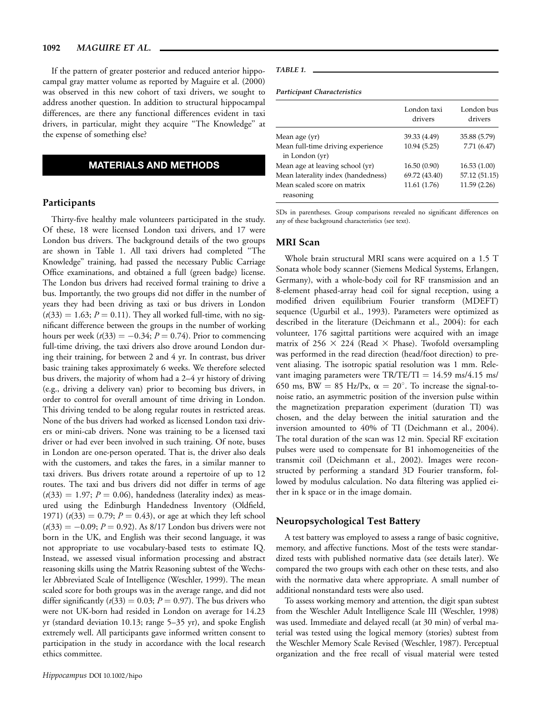If the pattern of greater posterior and reduced anterior hippocampal gray matter volume as reported by Maguire et al. (2000) was observed in this new cohort of taxi drivers, we sought to address another question. In addition to structural hippocampal differences, are there any functional differences evident in taxi drivers, in particular, might they acquire ''The Knowledge'' at the expense of something else?

### MATERIALS AND METHODS

### Participants

Thirty-five healthy male volunteers participated in the study. Of these, 18 were licensed London taxi drivers, and 17 were London bus drivers. The background details of the two groups are shown in Table 1. All taxi drivers had completed ''The Knowledge'' training, had passed the necessary Public Carriage Office examinations, and obtained a full (green badge) license. The London bus drivers had received formal training to drive a bus. Importantly, the two groups did not differ in the number of years they had been driving as taxi or bus drivers in London  $(t(33) = 1.63; P = 0.11)$ . They all worked full-time, with no significant difference between the groups in the number of working hours per week  $(t(33) = -0.34; P = 0.74)$ . Prior to commencing full-time driving, the taxi drivers also drove around London during their training, for between 2 and 4 yr. In contrast, bus driver basic training takes approximately 6 weeks. We therefore selected bus drivers, the majority of whom had a 2–4 yr history of driving (e.g., driving a delivery van) prior to becoming bus drivers, in order to control for overall amount of time driving in London. This driving tended to be along regular routes in restricted areas. None of the bus drivers had worked as licensed London taxi drivers or mini-cab drivers. None was training to be a licensed taxi driver or had ever been involved in such training. Of note, buses in London are one-person operated. That is, the driver also deals with the customers, and takes the fares, in a similar manner to taxi drivers. Bus drivers rotate around a repertoire of up to 12 routes. The taxi and bus drivers did not differ in terms of age  $(t(33) = 1.97; P = 0.06)$ , handedness (laterality index) as measured using the Edinburgh Handedness Inventory (Oldfield, 1971)  $(t(33) = 0.79; P = 0.43)$ , or age at which they left school  $(t(33) = -0.09; P = 0.92)$ . As 8/17 London bus drivers were not born in the UK, and English was their second language, it was not appropriate to use vocabulary-based tests to estimate IQ. Instead, we assessed visual information processing and abstract reasoning skills using the Matrix Reasoning subtest of the Wechsler Abbreviated Scale of Intelligence (Weschler, 1999). The mean scaled score for both groups was in the average range, and did not differ significantly  $(t(33) = 0.03; P = 0.97)$ . The bus drivers who were not UK-born had resided in London on average for 14.23 yr (standard deviation 10.13; range 5–35 yr), and spoke English extremely well. All participants gave informed written consent to participation in the study in accordance with the local research ethics committee.

TABLE 1.  $-$ 

Participant Characteristics

|                                                     | London taxi<br>drivers | London bus<br>drivers |
|-----------------------------------------------------|------------------------|-----------------------|
| Mean age (yr)                                       | 39.33 (4.49)           | 35.88 (5.79)          |
| Mean full-time driving experience<br>in London (yr) | 10.94 (5.25)           | 7.71 (6.47)           |
| Mean age at leaving school (yr)                     | 16.50(0.90)            | 16.53(1.00)           |
| Mean laterality index (handedness)                  | 69.72 (43.40)          | 57.12 (51.15)         |
| Mean scaled score on matrix<br>reasoning            | 11.61 (1.76)           | 11.59 (2.26)          |

SDs in parentheses. Group comparisons revealed no significant differences on any of these background characteristics (see text).

#### MRI Scan

Whole brain structural MRI scans were acquired on a 1.5 T Sonata whole body scanner (Siemens Medical Systems, Erlangen, Germany), with a whole-body coil for RF transmission and an 8-element phased-array head coil for signal reception, using a modified driven equilibrium Fourier transform (MDEFT) sequence (Ugurbil et al., 1993). Parameters were optimized as described in the literature (Deichmann et al., 2004): for each volunteer, 176 sagittal partitions were acquired with an image matrix of 256  $\times$  224 (Read  $\times$  Phase). Twofold oversampling was performed in the read direction (head/foot direction) to prevent aliasing. The isotropic spatial resolution was 1 mm. Relevant imaging parameters were  $TR/TE/TI = 14.59$  ms/4.15 ms/ 650 ms, BW = 85 Hz/Px,  $\alpha = 20^{\circ}$ . To increase the signal-tonoise ratio, an asymmetric position of the inversion pulse within the magnetization preparation experiment (duration TI) was chosen, and the delay between the initial saturation and the inversion amounted to 40% of TI (Deichmann et al., 2004). The total duration of the scan was 12 min. Special RF excitation pulses were used to compensate for B1 inhomogeneities of the transmit coil (Deichmann et al., 2002). Images were reconstructed by performing a standard 3D Fourier transform, followed by modulus calculation. No data filtering was applied either in k space or in the image domain.

#### Neuropsychological Test Battery

A test battery was employed to assess a range of basic cognitive, memory, and affective functions. Most of the tests were standardized tests with published normative data (see details later). We compared the two groups with each other on these tests, and also with the normative data where appropriate. A small number of additional nonstandard tests were also used.

To assess working memory and attention, the digit span subtest from the Weschler Adult Intelligence Scale III (Weschler, 1998) was used. Immediate and delayed recall (at 30 min) of verbal material was tested using the logical memory (stories) subtest from the Weschler Memory Scale Revised (Weschler, 1987). Perceptual organization and the free recall of visual material were tested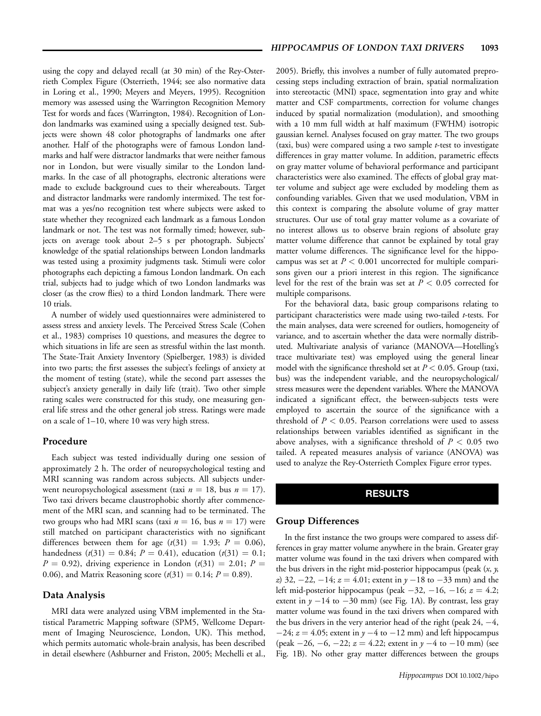using the copy and delayed recall (at 30 min) of the Rey-Osterrieth Complex Figure (Osterrieth, 1944; see also normative data in Loring et al., 1990; Meyers and Meyers, 1995). Recognition memory was assessed using the Warrington Recognition Memory Test for words and faces (Warrington, 1984). Recognition of London landmarks was examined using a specially designed test. Subjects were shown 48 color photographs of landmarks one after another. Half of the photographs were of famous London landmarks and half were distractor landmarks that were neither famous nor in London, but were visually similar to the London landmarks. In the case of all photographs, electronic alterations were made to exclude background cues to their whereabouts. Target and distractor landmarks were randomly intermixed. The test format was a yes/no recognition test where subjects were asked to state whether they recognized each landmark as a famous London landmark or not. The test was not formally timed; however, subjects on average took about 2–5 s per photograph. Subjects' knowledge of the spatial relationships between London landmarks was tested using a proximity judgments task. Stimuli were color photographs each depicting a famous London landmark. On each trial, subjects had to judge which of two London landmarks was closer (as the crow flies) to a third London landmark. There were 10 trials.

A number of widely used questionnaires were administered to assess stress and anxiety levels. The Perceived Stress Scale (Cohen et al., 1983) comprises 10 questions, and measures the degree to which situations in life are seen as stressful within the last month. The State-Trait Anxiety Inventory (Spielberger, 1983) is divided into two parts; the first assesses the subject's feelings of anxiety at the moment of testing (state), while the second part assesses the subject's anxiety generally in daily life (trait). Two other simple rating scales were constructed for this study, one measuring general life stress and the other general job stress. Ratings were made on a scale of 1–10, where 10 was very high stress.

### Procedure

Each subject was tested individually during one session of approximately 2 h. The order of neuropsychological testing and MRI scanning was random across subjects. All subjects underwent neuropsychological assessment (taxi  $n = 18$ , bus  $n = 17$ ). Two taxi drivers became claustrophobic shortly after commencement of the MRI scan, and scanning had to be terminated. The two groups who had MRI scans (taxi  $n = 16$ , bus  $n = 17$ ) were still matched on participant characteristics with no significant differences between them for age  $(t(31) = 1.93; P = 0.06)$ , handedness ( $t(31) = 0.84$ ;  $P = 0.41$ ), education ( $t(31) = 0.1$ ;  $P = 0.92$ ), driving experience in London (t(31) = 2.01; P = 0.06), and Matrix Reasoning score  $(t(31) = 0.14; P = 0.89)$ .

### Data Analysis

MRI data were analyzed using VBM implemented in the Statistical Parametric Mapping software (SPM5, Wellcome Department of Imaging Neuroscience, London, UK). This method, which permits automatic whole-brain analysis, has been described in detail elsewhere (Ashburner and Friston, 2005; Mechelli et al.,

2005). Briefly, this involves a number of fully automated preprocessing steps including extraction of brain, spatial normalization into stereotactic (MNI) space, segmentation into gray and white matter and CSF compartments, correction for volume changes induced by spatial normalization (modulation), and smoothing with a 10 mm full width at half maximum (FWHM) isotropic gaussian kernel. Analyses focused on gray matter. The two groups (taxi, bus) were compared using a two sample *-test to investigate* differences in gray matter volume. In addition, parametric effects on gray matter volume of behavioral performance and participant characteristics were also examined. The effects of global gray matter volume and subject age were excluded by modeling them as confounding variables. Given that we used modulation, VBM in this context is comparing the absolute volume of gray matter structures. Our use of total gray matter volume as a covariate of no interest allows us to observe brain regions of absolute gray matter volume difference that cannot be explained by total gray matter volume differences. The significance level for the hippocampus was set at  $P < 0.001$  uncorrected for multiple comparisons given our a priori interest in this region. The significance level for the rest of the brain was set at  $P < 0.05$  corrected for multiple comparisons.

For the behavioral data, basic group comparisons relating to participant characteristics were made using two-tailed  $t$ -tests. For the main analyses, data were screened for outliers, homogeneity of variance, and to ascertain whether the data were normally distributed. Multivariate analysis of variance (MANOVA—Hotelling's trace multivariate test) was employed using the general linear model with the significance threshold set at  $P < 0.05$ . Group (taxi, bus) was the independent variable, and the neuropsychological/ stress measures were the dependent variables. Where the MANOVA indicated a significant effect, the between-subjects tests were employed to ascertain the source of the significance with a threshold of  $P < 0.05$ . Pearson correlations were used to assess relationships between variables identified as significant in the above analyses, with a significance threshold of  $P < 0.05$  two tailed. A repeated measures analysis of variance (ANOVA) was used to analyze the Rey-Osterrieth Complex Figure error types.

## RESULTS

### Group Differences

In the first instance the two groups were compared to assess differences in gray matter volume anywhere in the brain. Greater gray matter volume was found in the taxi drivers when compared with the bus drivers in the right mid-posterior hippocampus (peak  $(x, y, z)$ z) 32,  $-22$ ,  $-14$ ;  $z = 4.01$ ; extent in  $y - 18$  to  $-33$  mm) and the left mid-posterior hippocampus (peak  $-32$ ,  $-16$ ,  $-16$ ;  $z = 4.2$ ; extent in  $y - 14$  to  $-30$  mm) (see Fig. 1A). By contrast, less gray matter volume was found in the taxi drivers when compared with the bus drivers in the very anterior head of the right (peak  $24, -4,$  $-24$ ;  $z = 4.05$ ; extent in  $y - 4$  to  $-12$  mm) and left hippocampus (peak  $-26$ ,  $-6$ ,  $-22$ ;  $z = 4.22$ ; extent in  $y - 4$  to  $-10$  mm) (see Fig. 1B). No other gray matter differences between the groups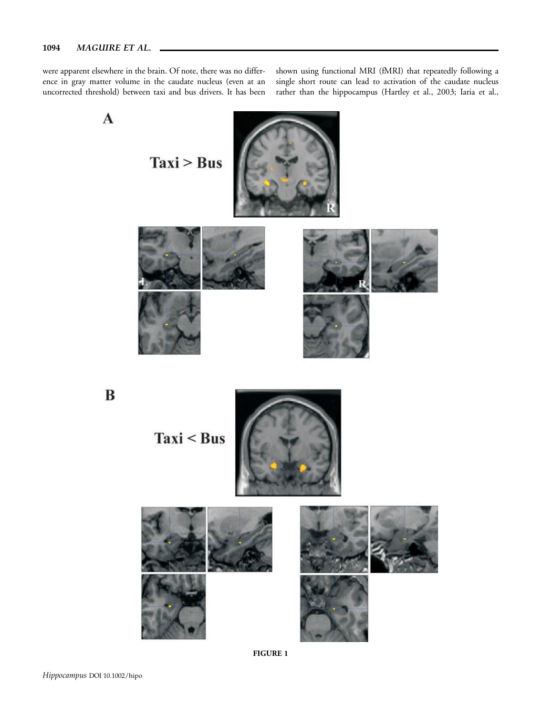were apparent elsewhere in the brain. Of note, there was no difference in gray matter volume in the caudate nucleus (even at an uncorrected threshold) between taxi and bus drivers. It has been shown using functional MRI (fMRI) that repeatedly following a single short route can lead to activation of the caudate nucleus rather than the hippocampus (Hartley et al., 2003; Iaria et al.,

 $\mathbf A$ 

 $\text{Taxi} > \text{Bus}$ 





 $\bf{B}$ 

Taxi < Bus









FIGURE 1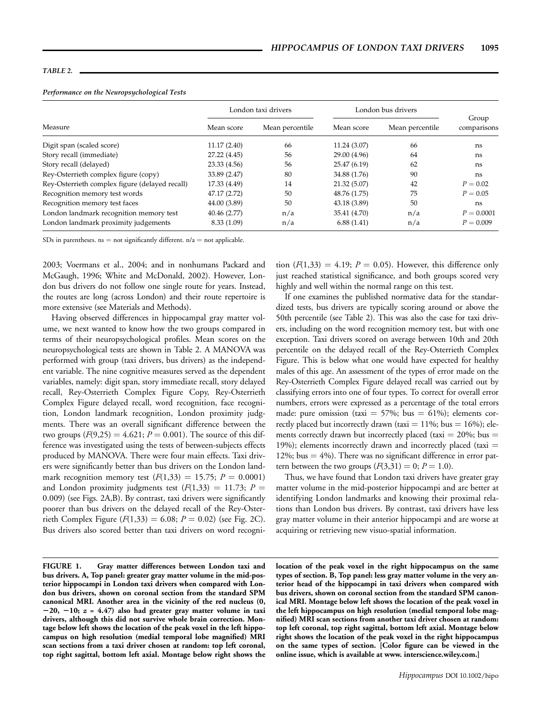### TABLE 2.

| Performance on the Neuropsychological Tests |  |  |  |  |  |
|---------------------------------------------|--|--|--|--|--|
|---------------------------------------------|--|--|--|--|--|

| Measure                                        | London taxi drivers |                 | London bus drivers |                 |                      |
|------------------------------------------------|---------------------|-----------------|--------------------|-----------------|----------------------|
|                                                | Mean score          | Mean percentile | Mean score         | Mean percentile | Group<br>comparisons |
| Digit span (scaled score)                      | 11.17(2.40)         | 66              | 11.24 (3.07)       | 66              | ns                   |
| Story recall (immediate)                       | 27.22 (4.45)        | 56              | 29.00 (4.96)       | 64              | ns                   |
| Story recall (delayed)                         | 23.33 (4.56)        | 56              | 25.47 (6.19)       | 62              | ns                   |
| Rey-Osterrieth complex figure (copy)           | 33.89 (2.47)        | 80              | 34.88 (1.76)       | 90              | ns                   |
| Rey-Osterrieth complex figure (delayed recall) | 17.33 (4.49)        | 14              | 21.32 (5.07)       | 42              | $P = 0.02$           |
| Recognition memory test words                  | 47.17 (2.72)        | 50              | 48.76 (1.75)       | 75              | $P = 0.05$           |
| Recognition memory test faces                  | 44.00 (3.89)        | 50              | 43.18 (3.89)       | 50              | ns                   |
| London landmark recognition memory test        | 40.46 (2.77)        | n/a             | 35.41 (4.70)       | n/a             | $P = 0.0001$         |
| London landmark proximity judgements           | 8.33 (1.09)         | n/a             | 6.88(1.41)         | n/a             | $P = 0.009$          |

SDs in parentheses. ns = not significantly different.  $n/a =$  not applicable.

2003; Voermans et al., 2004; and in nonhumans Packard and McGaugh, 1996; White and McDonald, 2002). However, London bus drivers do not follow one single route for years. Instead, the routes are long (across London) and their route repertoire is more extensive (see Materials and Methods).

Having observed differences in hippocampal gray matter volume, we next wanted to know how the two groups compared in terms of their neuropsychological profiles. Mean scores on the neuropsychological tests are shown in Table 2. A MANOVA was performed with group (taxi drivers, bus drivers) as the independent variable. The nine cognitive measures served as the dependent variables, namely: digit span, story immediate recall, story delayed recall, Rey-Osterrieth Complex Figure Copy, Rey-Osterrieth Complex Figure delayed recall, word recognition, face recognition, London landmark recognition, London proximity judgments. There was an overall significant difference between the two groups  $(F(9,25) = 4.621; P = 0.001)$ . The source of this difference was investigated using the tests of between-subjects effects produced by MANOVA. There were four main effects. Taxi drivers were significantly better than bus drivers on the London landmark recognition memory test  $(F(1,33) = 15.75; P = 0.0001)$ and London proximity judgments test  $(F(1,33) = 11.73; P =$ 0.009) (see Figs. 2A,B). By contrast, taxi drivers were significantly poorer than bus drivers on the delayed recall of the Rey-Osterrieth Complex Figure  $(F(1,33) = 6.08; P = 0.02)$  (see Fig. 2C). Bus drivers also scored better than taxi drivers on word recognition  $(F(1,33) = 4.19; P = 0.05)$ . However, this difference only just reached statistical significance, and both groups scored very highly and well within the normal range on this test.

If one examines the published normative data for the standardized tests, bus drivers are typically scoring around or above the 50th percentile (see Table 2). This was also the case for taxi drivers, including on the word recognition memory test, but with one exception. Taxi drivers scored on average between 10th and 20th percentile on the delayed recall of the Rey-Osterrieth Complex Figure. This is below what one would have expected for healthy males of this age. An assessment of the types of error made on the Rey-Osterrieth Complex Figure delayed recall was carried out by classifying errors into one of four types. To correct for overall error numbers, errors were expressed as a percentage of the total errors made: pure omission (taxi = 57%; bus = 61%); elements correctly placed but incorrectly drawn (taxi =  $11\%$ ; bus =  $16\%$ ); elements correctly drawn but incorrectly placed (taxi  $= 20\%$ ; bus  $=$ 19%); elements incorrectly drawn and incorrectly placed (taxi  $=$ 12%; bus  $=$  4%). There was no significant difference in error pattern between the two groups  $(F(3,31) = 0; P = 1.0)$ .

Thus, we have found that London taxi drivers have greater gray matter volume in the mid-posterior hippocampi and are better at identifying London landmarks and knowing their proximal relations than London bus drivers. By contrast, taxi drivers have less gray matter volume in their anterior hippocampi and are worse at acquiring or retrieving new visuo-spatial information.

location of the peak voxel in the right hippocampus on the same types of section. B, Top panel: less gray matter volume in the very anterior head of the hippocampi in taxi drivers when compared with bus drivers, shown on coronal section from the standard SPM canonical MRI. Montage below left shows the location of the peak voxel in the left hippocampus on high resolution (medial temporal lobe magnified) MRI scan sections from another taxi driver chosen at random: top left coronal, top right sagittal, bottom left axial. Montage below right shows the location of the peak voxel in the right hippocampus on the same types of section. [Color figure can be viewed in the online issue, which is available at www. interscience.wiley.com.]

FIGURE 1. Gray matter differences between London taxi and bus drivers. A, Top panel: greater gray matter volume in the mid-posterior hippocampi in London taxi drivers when compared with London bus drivers, shown on coronal section from the standard SPM canonical MRI. Another area in the vicinity of the red nucleus (0,  $-20$ ,  $-10$ ;  $z = 4.47$ ) also had greater gray matter volume in taxi drivers, although this did not survive whole brain correction. Montage below left shows the location of the peak voxel in the left hippocampus on high resolution (medial temporal lobe magnified) MRI scan sections from a taxi driver chosen at random: top left coronal, top right sagittal, bottom left axial. Montage below right shows the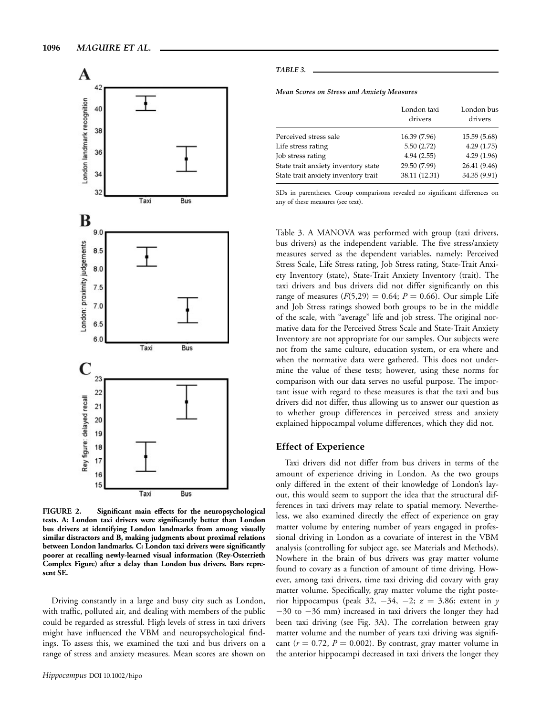

FIGURE 2. Significant main effects for the neuropsychological tests. A: London taxi drivers were significantly better than London bus drivers at identifying London landmarks from among visually similar distractors and B, making judgments about proximal relations between London landmarks. C: London taxi drivers were significantly poorer at recalling newly-learned visual information (Rey-Osterrieth Complex Figure) after a delay than London bus drivers. Bars represent SE.

Driving constantly in a large and busy city such as London, with traffic, polluted air, and dealing with members of the public could be regarded as stressful. High levels of stress in taxi drivers might have influenced the VBM and neuropsychological findings. To assess this, we examined the taxi and bus drivers on a range of stress and anxiety measures. Mean scores are shown on

#### TABLE 3.

Mean Scores on Stress and Anxiety Measures

|                                     | London taxi<br>drivers | London bus<br>drivers |  |
|-------------------------------------|------------------------|-----------------------|--|
|                                     |                        |                       |  |
| Perceived stress sale               | 16.39 (7.96)           | 15.59 (5.68)          |  |
| Life stress rating                  | 5.50(2.72)             | 4.29(1.75)            |  |
| Job stress rating                   | 4.94(2.55)             | 4.29(1.96)            |  |
| State trait anxiety inventory state | 29.50 (7.99)           | 26.41 (9.46)          |  |
| State trait anxiety inventory trait | 38.11 (12.31)          | 34.35 (9.91)          |  |

SDs in parentheses. Group comparisons revealed no significant differences on any of these measures (see text).

Table 3. A MANOVA was performed with group (taxi drivers, bus drivers) as the independent variable. The five stress/anxiety measures served as the dependent variables, namely: Perceived Stress Scale, Life Stress rating, Job Stress rating, State-Trait Anxiety Inventory (state), State-Trait Anxiety Inventory (trait). The taxi drivers and bus drivers did not differ significantly on this range of measures  $(F(5,29) = 0.64; P = 0.66)$ . Our simple Life and Job Stress ratings showed both groups to be in the middle of the scale, with ''average'' life and job stress. The original normative data for the Perceived Stress Scale and State-Trait Anxiety Inventory are not appropriate for our samples. Our subjects were not from the same culture, education system, or era where and when the normative data were gathered. This does not undermine the value of these tests; however, using these norms for comparison with our data serves no useful purpose. The important issue with regard to these measures is that the taxi and bus drivers did not differ, thus allowing us to answer our question as to whether group differences in perceived stress and anxiety explained hippocampal volume differences, which they did not.

### Effect of Experience

Taxi drivers did not differ from bus drivers in terms of the amount of experience driving in London. As the two groups only differed in the extent of their knowledge of London's layout, this would seem to support the idea that the structural differences in taxi drivers may relate to spatial memory. Nevertheless, we also examined directly the effect of experience on gray matter volume by entering number of years engaged in professional driving in London as a covariate of interest in the VBM analysis (controlling for subject age, see Materials and Methods). Nowhere in the brain of bus drivers was gray matter volume found to covary as a function of amount of time driving. However, among taxi drivers, time taxi driving did covary with gray matter volume. Specifically, gray matter volume the right posterior hippocampus (peak 32,  $-34$ ,  $-2$ ;  $z = 3.86$ ; extent in y  $-30$  to  $-36$  mm) increased in taxi drivers the longer they had been taxi driving (see Fig. 3A). The correlation between gray matter volume and the number of years taxi driving was significant ( $r = 0.72$ ,  $P = 0.002$ ). By contrast, gray matter volume in the anterior hippocampi decreased in taxi drivers the longer they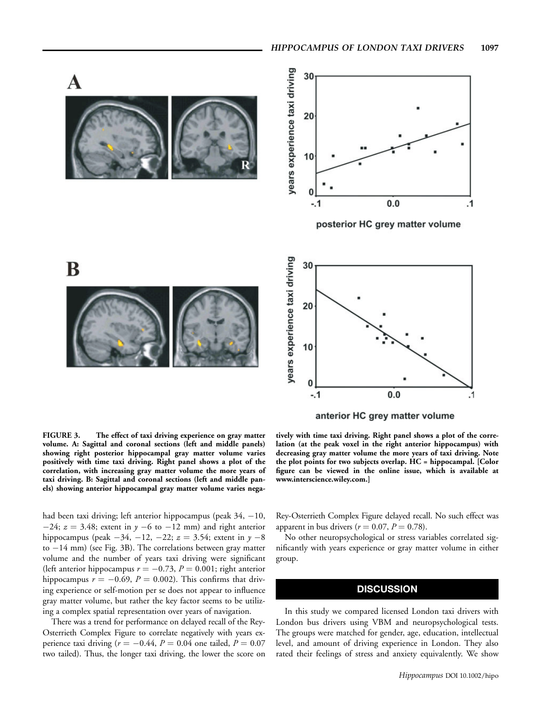

anterior HC grey matter volume

FIGURE 3. The effect of taxi driving experience on gray matter volume. A: Sagittal and coronal sections (left and middle panels) showing right posterior hippocampal gray matter volume varies positively with time taxi driving. Right panel shows a plot of the correlation, with increasing gray matter volume the more years of taxi driving. B: Sagittal and coronal sections (left and middle panels) showing anterior hippocampal gray matter volume varies nega-

tively with time taxi driving. Right panel shows a plot of the correlation (at the peak voxel in the right anterior hippocampus) with decreasing gray matter volume the more years of taxi driving. Note the plot points for two subjects overlap. HC = hippocampal. [Color figure can be viewed in the online issue, which is available at www.interscience.wiley.com.]

had been taxi driving; left anterior hippocampus (peak  $34, -10$ ,  $-24$ ;  $z = 3.48$ ; extent in  $y -6$  to  $-12$  mm) and right anterior hippocampus (peak  $-34$ ,  $-12$ ,  $-22$ ;  $z = 3.54$ ; extent in  $y -8$ to  $-14$  mm) (see Fig. 3B). The correlations between gray matter volume and the number of years taxi driving were significant (left anterior hippocampus  $r = -0.73$ ,  $P = 0.001$ ; right anterior hippocampus  $r = -0.69$ ,  $P = 0.002$ ). This confirms that driving experience or self-motion per se does not appear to influence gray matter volume, but rather the key factor seems to be utilizing a complex spatial representation over years of navigation.

There was a trend for performance on delayed recall of the Rey-Osterrieth Complex Figure to correlate negatively with years experience taxi driving ( $r = -0.44$ ,  $P = 0.04$  one tailed,  $P = 0.07$ two tailed). Thus, the longer taxi driving, the lower the score on Rey-Osterrieth Complex Figure delayed recall. No such effect was apparent in bus drivers ( $r = 0.07$ ,  $P = 0.78$ ).

No other neuropsychological or stress variables correlated significantly with years experience or gray matter volume in either group.

### **DISCUSSION**

In this study we compared licensed London taxi drivers with London bus drivers using VBM and neuropsychological tests. The groups were matched for gender, age, education, intellectual level, and amount of driving experience in London. They also rated their feelings of stress and anxiety equivalently. We show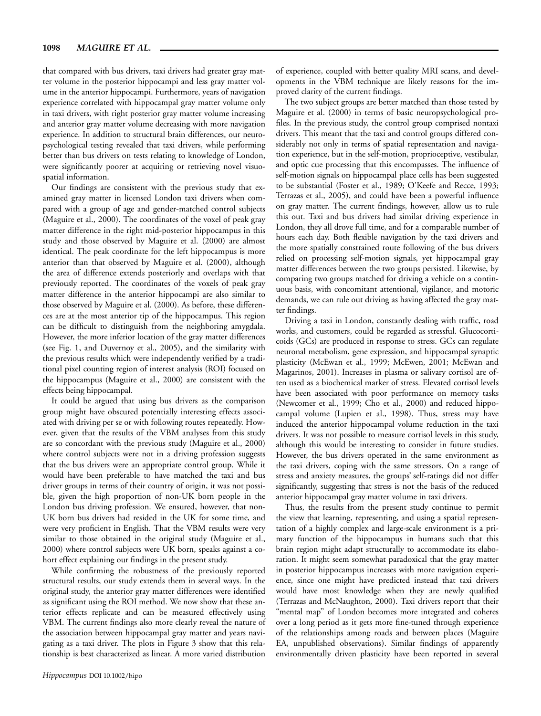that compared with bus drivers, taxi drivers had greater gray matter volume in the posterior hippocampi and less gray matter volume in the anterior hippocampi. Furthermore, years of navigation experience correlated with hippocampal gray matter volume only in taxi drivers, with right posterior gray matter volume increasing and anterior gray matter volume decreasing with more navigation experience. In addition to structural brain differences, our neuropsychological testing revealed that taxi drivers, while performing better than bus drivers on tests relating to knowledge of London, were significantly poorer at acquiring or retrieving novel visuospatial information.

Our findings are consistent with the previous study that examined gray matter in licensed London taxi drivers when compared with a group of age and gender-matched control subjects (Maguire et al., 2000). The coordinates of the voxel of peak gray matter difference in the right mid-posterior hippocampus in this study and those observed by Maguire et al. (2000) are almost identical. The peak coordinate for the left hippocampus is more anterior than that observed by Maguire et al. (2000), although the area of difference extends posteriorly and overlaps with that previously reported. The coordinates of the voxels of peak gray matter difference in the anterior hippocampi are also similar to those observed by Maguire et al. (2000). As before, these differences are at the most anterior tip of the hippocampus. This region can be difficult to distinguish from the neighboring amygdala. However, the more inferior location of the gray matter differences (see Fig. 1, and Duvernoy et al., 2005), and the similarity with the previous results which were independently verified by a traditional pixel counting region of interest analysis (ROI) focused on the hippocampus (Maguire et al., 2000) are consistent with the effects being hippocampal.

It could be argued that using bus drivers as the comparison group might have obscured potentially interesting effects associated with driving per se or with following routes repeatedly. However, given that the results of the VBM analyses from this study are so concordant with the previous study (Maguire et al., 2000) where control subjects were not in a driving profession suggests that the bus drivers were an appropriate control group. While it would have been preferable to have matched the taxi and bus driver groups in terms of their country of origin, it was not possible, given the high proportion of non-UK born people in the London bus driving profession. We ensured, however, that non-UK born bus drivers had resided in the UK for some time, and were very proficient in English. That the VBM results were very similar to those obtained in the original study (Maguire et al., 2000) where control subjects were UK born, speaks against a cohort effect explaining our findings in the present study.

While confirming the robustness of the previously reported structural results, our study extends them in several ways. In the original study, the anterior gray matter differences were identified as significant using the ROI method. We now show that these anterior effects replicate and can be measured effectively using VBM. The current findings also more clearly reveal the nature of the association between hippocampal gray matter and years navigating as a taxi driver. The plots in Figure 3 show that this relationship is best characterized as linear. A more varied distribution

of experience, coupled with better quality MRI scans, and developments in the VBM technique are likely reasons for the improved clarity of the current findings.

The two subject groups are better matched than those tested by Maguire et al. (2000) in terms of basic neuropsychological profiles. In the previous study, the control group comprised nontaxi drivers. This meant that the taxi and control groups differed considerably not only in terms of spatial representation and navigation experience, but in the self-motion, proprioceptive, vestibular, and optic cue processing that this encompasses. The influence of self-motion signals on hippocampal place cells has been suggested to be substantial (Foster et al., 1989; O'Keefe and Recce, 1993; Terrazas et al., 2005), and could have been a powerful influence on gray matter. The current findings, however, allow us to rule this out. Taxi and bus drivers had similar driving experience in London, they all drove full time, and for a comparable number of hours each day. Both flexible navigation by the taxi drivers and the more spatially constrained route following of the bus drivers relied on processing self-motion signals, yet hippocampal gray matter differences between the two groups persisted. Likewise, by comparing two groups matched for driving a vehicle on a continuous basis, with concomitant attentional, vigilance, and motoric demands, we can rule out driving as having affected the gray matter findings.

Driving a taxi in London, constantly dealing with traffic, road works, and customers, could be regarded as stressful. Glucocorticoids (GCs) are produced in response to stress. GCs can regulate neuronal metabolism, gene expression, and hippocampal synaptic plasticity (McEwan et al., 1999; McEwen, 2001; McEwan and Magarinos, 2001). Increases in plasma or salivary cortisol are often used as a biochemical marker of stress. Elevated cortisol levels have been associated with poor performance on memory tasks (Newcomer et al., 1999; Cho et al., 2000) and reduced hippocampal volume (Lupien et al., 1998). Thus, stress may have induced the anterior hippocampal volume reduction in the taxi drivers. It was not possible to measure cortisol levels in this study, although this would be interesting to consider in future studies. However, the bus drivers operated in the same environment as the taxi drivers, coping with the same stressors. On a range of stress and anxiety measures, the groups' self-ratings did not differ significantly, suggesting that stress is not the basis of the reduced anterior hippocampal gray matter volume in taxi drivers.

Thus, the results from the present study continue to permit the view that learning, representing, and using a spatial representation of a highly complex and large-scale environment is a primary function of the hippocampus in humans such that this brain region might adapt structurally to accommodate its elaboration. It might seem somewhat paradoxical that the gray matter in posterior hippocampus increases with more navigation experience, since one might have predicted instead that taxi drivers would have most knowledge when they are newly qualified (Terrazas and McNaughton, 2000). Taxi drivers report that their "mental map" of London becomes more integrated and coheres over a long period as it gets more fine-tuned through experience of the relationships among roads and between places (Maguire EA, unpublished observations). Similar findings of apparently environmentally driven plasticity have been reported in several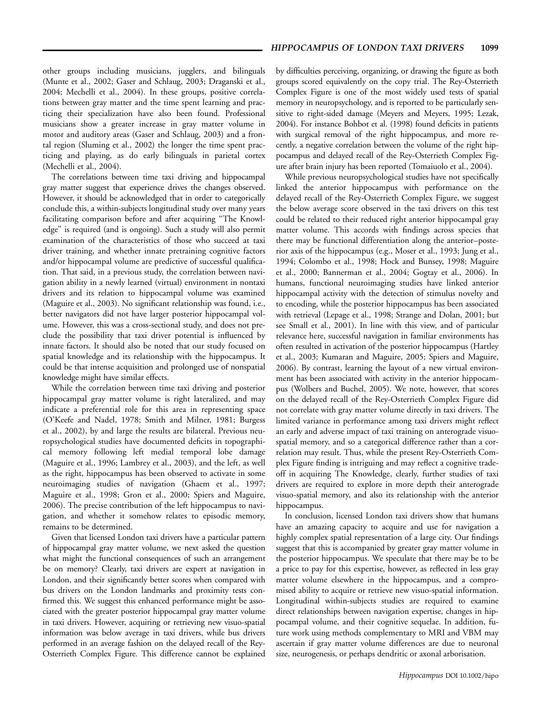other groups including musicians, jugglers, and bilinguals (Munte et al., 2002; Gaser and Schlaug, 2003; Draganski et al., 2004; Mechelli et al., 2004). In these groups, positive correlations between gray matter and the time spent learning and practicing their specialization have also been found. Professional musicians show a greater increase in gray matter volume in motor and auditory areas (Gaser and Schlaug, 2003) and a frontal region (Sluming et al., 2002) the longer the time spent practicing and playing, as do early bilinguals in parietal cortex (Mechelli et al., 2004).

The correlations between time taxi driving and hippocampal gray matter suggest that experience drives the changes observed. However, it should be acknowledged that in order to categorically conclude this, a within-subjects longitudinal study over many years facilitating comparison before and after acquiring ''The Knowledge'' is required (and is ongoing). Such a study will also permit examination of the characteristics of those who succeed at taxi driver training, and whether innate pretraining cognitive factors and/or hippocampal volume are predictive of successful qualification. That said, in a previous study, the correlation between navigation ability in a newly learned (virtual) environment in nontaxi drivers and its relation to hippocampal volume was examined (Maguire et al., 2003). No significant relationship was found, i.e., better navigators did not have larger posterior hippocampal volume. However, this was a cross-sectional study, and does not preclude the possibility that taxi driver potential is influenced by innate factors. It should also be noted that our study focused on spatial knowledge and its relationship with the hippocampus. It could be that intense acquisition and prolonged use of nonspatial knowledge might have similar effects.

While the correlation between time taxi driving and posterior hippocampal gray matter volume is right lateralized, and may indicate a preferential role for this area in representing space (O'Keefe and Nadel, 1978; Smith and Milner, 1981; Burgess et al., 2002), by and large the results are bilateral. Previous neuropsychological studies have documented deficits in topographical memory following left medial temporal lobe damage (Maguire et al., 1996; Lambrey et al., 2003), and the left, as well as the right, hippocampus has been observed to activate in some neuroimaging studies of navigation (Ghaem et al., 1997; Maguire et al., 1998; Gron et al., 2000; Spiers and Maguire, 2006). The precise contribution of the left hippocampus to navigation, and whether it somehow relates to episodic memory, remains to be determined.

Given that licensed London taxi drivers have a particular pattern of hippocampal gray matter volume, we next asked the question what might the functional consequences of such an arrangement be on memory? Clearly, taxi drivers are expert at navigation in London, and their significantly better scores when compared with bus drivers on the London landmarks and proximity tests confirmed this. We suggest this enhanced performance might be associated with the greater posterior hippocampal gray matter volume in taxi drivers. However, acquiring or retrieving new visuo-spatial information was below average in taxi drivers, while bus drivers performed in an average fashion on the delayed recall of the Rey-Osterrieth Complex Figure. This difference cannot be explained by difficulties perceiving, organizing, or drawing the figure as both groups scored equivalently on the copy trial. The Rey-Osterrieth Complex Figure is one of the most widely used tests of spatial memory in neuropsychology, and is reported to be particularly sensitive to right-sided damage (Meyers and Meyers, 1995; Lezak, 2004). For instance Bohbot et al. (1998) found deficits in patients with surgical removal of the right hippocampus, and more recently, a negative correlation between the volume of the right hippocampus and delayed recall of the Rey-Osterrieth Complex Figure after brain injury has been reported (Tomaiuolo et al., 2004).

While previous neuropsychological studies have not specifically linked the anterior hippocampus with performance on the delayed recall of the Rey-Osterrieth Complex Figure, we suggest the below average score observed in the taxi drivers on this test could be related to their reduced right anterior hippocampal gray matter volume. This accords with findings across species that there may be functional differentiation along the anterior–posterior axis of the hippocampus (e.g., Moser et al., 1993; Jung et al., 1994; Colombo et al., 1998; Hock and Bunsey, 1998; Maguire et al., 2000; Bannerman et al., 2004; Gogtay et al., 2006). In humans, functional neuroimaging studies have linked anterior hippocampal activity with the detection of stimulus novelty and to encoding, while the posterior hippocampus has been associated with retrieval (Lepage et al., 1998; Strange and Dolan, 2001; but see Small et al., 2001). In line with this view, and of particular relevance here, successful navigation in familiar environments has often resulted in activation of the posterior hippocampus (Hartley et al., 2003; Kumaran and Maguire, 2005; Spiers and Maguire, 2006). By contrast, learning the layout of a new virtual environment has been associated with activity in the anterior hippocampus (Wolbers and Buchel, 2005). We note, however, that scores on the delayed recall of the Rey-Osterrieth Complex Figure did not correlate with gray matter volume directly in taxi drivers. The limited variance in performance among taxi drivers might reflect an early and adverse impact of taxi training on anterograde visuospatial memory, and so a categorical difference rather than a correlation may result. Thus, while the present Rey-Osterrieth Complex Figure finding is intriguing and may reflect a cognitive tradeoff in acquiring The Knowledge, clearly, further studies of taxi drivers are required to explore in more depth their anterograde visuo-spatial memory, and also its relationship with the anterior hippocampus.

In conclusion, licensed London taxi drivers show that humans have an amazing capacity to acquire and use for navigation a highly complex spatial representation of a large city. Our findings suggest that this is accompanied by greater gray matter volume in the posterior hippocampus. We speculate that there may be to be a price to pay for this expertise, however, as reflected in less gray matter volume elsewhere in the hippocampus, and a compromised ability to acquire or retrieve new visuo-spatial information. Longitudinal within-subjects studies are required to examine direct relationships between navigation expertise, changes in hippocampal volume, and their cognitive sequelae. In addition, future work using methods complementary to MRI and VBM may ascertain if gray matter volume differences are due to neuronal size, neurogenesis, or perhaps dendritic or axonal arborisation.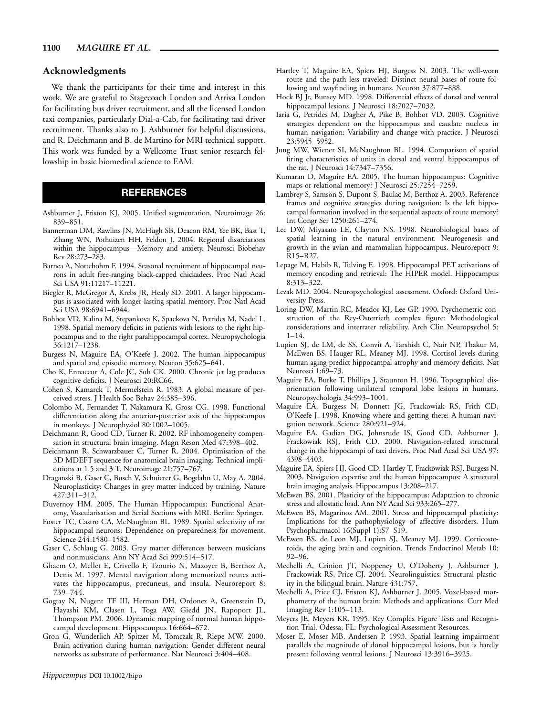### Acknowledgments

We thank the participants for their time and interest in this work. We are grateful to Stagecoach London and Arriva London for facilitating bus driver recruitment, and all the licensed London taxi companies, particularly Dial-a-Cab, for facilitating taxi driver recruitment. Thanks also to J. Ashburner for helpful discussions, and R. Deichmann and B. de Martino for MRI technical support. This work was funded by a Wellcome Trust senior research fellowship in basic biomedical science to EAM.

### REFERENCES

- Ashburner J, Friston KJ. 2005. Unified segmentation. Neuroimage 26: 839–851.
- Bannerman DM, Rawlins JN, McHugh SB, Deacon RM, Yee BK, Bast T, Zhang WN, Pothuizen HH, Feldon J. 2004. Regional dissociations within the hippocampus—Memory and anxiety. Neurosci Biobehav Rev 28:273–283.
- Barnea A, Nottebohm F. 1994. Seasonal recruitment of hippocampal neurons in adult free-ranging black-capped chickadees. Proc Natl Acad Sci USA 91:11217–11221.
- Biegler R, McGregor A, Krebs JR, Healy SD. 2001. A larger hippocampus is associated with longer-lasting spatial memory. Proc Natl Acad Sci USA 98:6941–6944.
- Bohbot VD, Kalina M, Stepankova K, Spackova N, Petrides M, Nadel L. 1998. Spatial memory deficits in patients with lesions to the right hippocampus and to the right parahippocampal cortex. Neuropsychologia 36:1217–1238.
- Burgess N, Maguire EA, O'Keefe J. 2002. The human hippocampus and spatial and episodic memory. Neuron 35:625–641.
- Cho K, Ennaceur A, Cole JC, Suh CK. 2000. Chronic jet lag produces cognitive deficits. J Neurosci 20:RC66.
- Cohen S, Kamarck T, Mermelstein R. 1983. A global measure of perceived stress. J Health Soc Behav 24:385–396.
- Colombo M, Fernandez T, Nakamura K, Gross CG. 1998. Functional differentiation along the anterior-posterior axis of the hippocampus in monkeys. J Neurophysiol 80:1002–1005.
- Deichmann R, Good CD, Turner R. 2002. RF inhomogeneity compensation in structural brain imaging. Magn Reson Med 47:398–402.
- Deichmann R, Schwarzbauer C, Turner R. 2004. Optimisation of the 3D MDEFT sequence for anatomical brain imaging: Technical implications at 1.5 and 3 T. Neuroimage 21:757–767.
- Draganski B, Gaser C, Busch V, Schuierer G, Bogdahn U, May A. 2004. Neuroplasticity: Changes in grey matter induced by training. Nature 427:311–312.
- Duvernoy HM. 2005. The Human Hippocampus: Functional Anatomy, Vascularisation and Serial Sections with MRI. Berlin: Springer.
- Foster TC, Castro CA, McNaughton BL. 1989. Spatial selectivity of rat hippocampal neurons: Dependence on preparedness for movement. Science 244:1580–1582.
- Gaser C, Schlaug G. 2003. Gray matter differences between musicians and nonmusicians. Ann NY Acad Sci 999:514–517.
- Ghaem O, Mellet E, Crivello F, Tzourio N, Mazoyer B, Berthoz A, Denis M. 1997. Mental navigation along memorized routes activates the hippocampus, precuneus, and insula. Neuroreport 8: 739–744.
- Gogtay N, Nugent TF III, Herman DH, Ordonez A, Greenstein D, Hayashi KM, Clasen L, Toga AW, Giedd JN, Rapoport JL, Thompson PM. 2006. Dynamic mapping of normal human hippocampal development. Hippocampus 16:664–672.
- Gron G, Wunderlich AP, Spitzer M, Tomczak R, Riepe MW. 2000. Brain activation during human navigation: Gender-different neural networks as substrate of performance. Nat Neurosci 3:404–408.
- Hartley T, Maguire EA, Spiers HJ, Burgess N. 2003. The well-worn route and the path less traveled: Distinct neural bases of route following and wayfinding in humans. Neuron 37:877–888.
- Hock BJ Jr, Bunsey MD. 1998. Differential effects of dorsal and ventral hippocampal lesions. J Neurosci 18:7027–7032.
- Iaria G, Petrides M, Dagher A, Pike B, Bohbot VD. 2003. Cognitive strategies dependent on the hippocampus and caudate nucleus in human navigation: Variability and change with practice. J Neurosci 23:5945–5952.
- Jung MW, Wiener SI, McNaughton BL. 1994. Comparison of spatial firing characteristics of units in dorsal and ventral hippocampus of the rat. J Neurosci 14:7347–7356.
- Kumaran D, Maguire EA. 2005. The human hippocampus: Cognitive maps or relational memory? J Neurosci 25:7254–7259.
- Lambrey S, Samson S, Dupont S, Baulac M, Berthoz A. 2003. Reference frames and cognitive strategies during navigation: Is the left hippocampal formation involved in the sequential aspects of route memory? Int Congr Ser 1250:261–274.
- Lee DW, Miyasato LE, Clayton NS. 1998. Neurobiological bases of spatial learning in the natural environment: Neurogenesis and growth in the avian and mammalian hippocampus. Neuroreport 9: R15–R27.
- Lepage M, Habib R, Tulving E. 1998. Hippocampal PET activations of memory encoding and retrieval: The HIPER model. Hippocampus 8:313–322.
- Lezak MD. 2004. Neuropsychological assessment. Oxford: Oxford University Press.
- Loring DW, Martin RC, Meador KJ, Lee GP. 1990. Psychometric construction of the Rey-Osterrieth complex figure: Methodological considerations and interrater reliability. Arch Clin Neuropsychol 5: 1–14.
- Lupien SJ, de LM, de SS, Convit A, Tarshish C, Nair NP, Thakur M, McEwen BS, Hauger RL, Meaney MJ. 1998. Cortisol levels during human aging predict hippocampal atrophy and memory deficits. Nat Neurosci 1:69–73.
- Maguire EA, Burke T, Phillips J, Staunton H. 1996. Topographical disorientation following unilateral temporal lobe lesions in humans. Neuropsychologia 34:993–1001.
- Maguire EA, Burgess N, Donnett JG, Frackowiak RS, Frith CD, O'Keefe J. 1998. Knowing where and getting there: A human navigation network. Science 280:921–924.
- Maguire EA, Gadian DG, Johnsrude IS, Good CD, Ashburner J, Frackowiak RSJ, Frith CD. 2000. Navigation-related structural change in the hippocampi of taxi drivers. Proc Natl Acad Sci USA 97: 4398–4403.
- Maguire EA, Spiers HJ, Good CD, Hartley T, Frackowiak RSJ, Burgess N. 2003. Navigation expertise and the human hippocampus: A structural brain imaging analysis. Hippocampus 13:208–217.
- McEwen BS. 2001. Plasticity of the hippocampus: Adaptation to chronic stress and allostatic load. Ann NY Acad Sci 933:265–277.
- McEwen BS, Magarinos AM. 2001. Stress and hippocampal plasticity: Implications for the pathophysiology of affective disorders. Hum Psychopharmacol 16(Suppl 1):S7–S19.
- McEwen BS, de Leon MJ, Lupien SJ, Meaney MJ. 1999. Corticosteroids, the aging brain and cognition. Trends Endocrinol Metab 10: 92–96.
- Mechelli A, Crinion JT, Noppeney U, O'Doherty J, Ashburner J, Frackowiak RS, Price CJ. 2004. Neurolinguistics: Structural plasticity in the bilingual brain. Nature 431:757.
- Mechelli A, Price CJ, Friston KJ, Ashburner J. 2005. Voxel-based morphometry of the human brain: Methods and applications. Curr Med Imaging Rev 1:105–113.
- Meyers JE, Meyers KR. 1995. Rey Complex Figure Tests and Recognition Trial. Odessa, FL: Psychological Assessment Resources.
- Moser E, Moser MB, Andersen P. 1993. Spatial learning impairment parallels the magnitude of dorsal hippocampal lesions, but is hardly present following ventral lesions. J Neurosci 13:3916–3925.